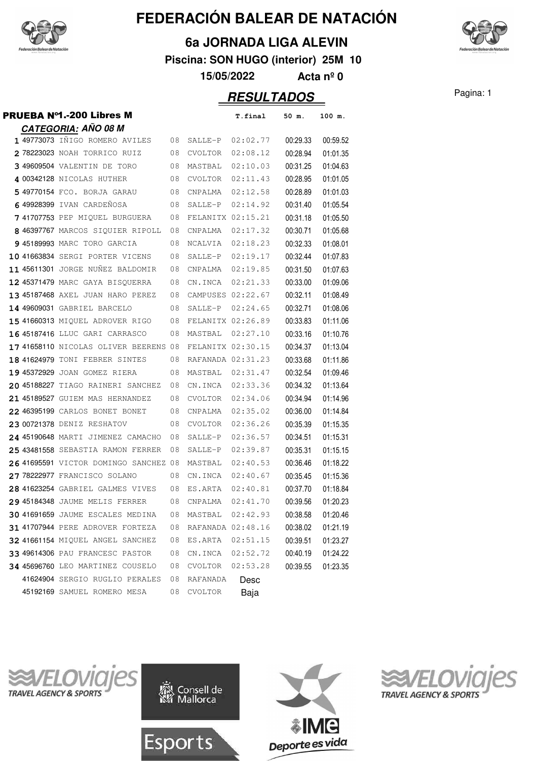

### **6a JORNADA LIGA ALEVIN**

**Piscina: SON HUGO (interior) 25M 10**

**15/05/2022 Acta nº 0**

**RESULTADOS** Pagina: 1

PRUEBA Nº1.-200 Libres M **T.final 50 m. 100 m. CATEGORIA: AÑO 08 M** <sup>49773073</sup> IÑIGO ROMERO AVILES 02:02.77 08 SALLE-P 00:29.33 00:59.52 <sup>78223023</sup> NOAH TORRICO RUIZ 02:08.12 08 CVOLTOR 00:28.94 01:01.35 49609504 VALENTIN DE TORO 08 MASTBAL 02:10.03 00:31.25 01:04.63 <sup>00342128</sup> NICOLAS HUTHER 02:11.43 08 CVOLTOR 00:28.95 01:01.05 5 49770154 FCO. BORJA GARAU 08 CNPALMA 02:12.58 00:28.89 01:01.03 <sup>49928399</sup> IVAN CARDEÑOSA 02:14.92 08 SALLE-P 00:31.40 01:05.54 <sup>41707753</sup> PEP MIQUEL BURGUERA 02:15.21 08 FELANITX 00:31.18 01:05.50 <sup>46397767</sup> MARCOS SIQUIER RIPOLL 02:17.32 08 CNPALMA 00:30.71 01:05.68 <sup>45189993</sup> MARC TORO GARCIA 02:18.23 08 NCALVIA 00:32.33 01:08.01 <sup>41663834</sup> SERGI PORTER VICENS 02:19.17 08 SALLE-P 00:32.44 01:07.83 <sup>45611301</sup> JORGE NUÑEZ BALDOMIR 02:19.85 08 CNPALMA 00:31.50 01:07.63 <sup>45371479</sup> MARC GAYA BISQUERRA 02:21.33 08 CN.INCA 00:33.00 01:09.06 <sup>45187468</sup> AXEL JUAN HARO PEREZ 02:22.67 08 CAMPUSES 00:32.11 01:08.49 <sup>49609031</sup> GABRIEL BARCELO 02:24.65 08 SALLE-P 00:32.71 01:08.06 <sup>41660313</sup> MIQUEL ADROVER RIGO 02:26.89 08 FELANITX 00:33.83 01:11.06 <sup>45187416</sup> LLUC GARI CARRASCO 02:27.10 08 MASTBAL 00:33.16 01:10.76 41658110 NICOLAS OLIVER BEERENS 08 FELANITX 02:30.15 00:34.37 01:13.04 <sup>41624979</sup> TONI FEBRER SINTES 02:31.23 08 RAFANADA 00:33.68 01:11.86 <sup>45372929</sup> JOAN GOMEZ RIERA 02:31.47 08 MASTBAL 00:32.54 01:09.46 <sup>45188227</sup> TIAGO RAINERI SANCHEZ 02:33.36 08 CN.INCA 00:34.32 01:13.64 <sup>45189527</sup> GUIEM MAS HERNANDEZ 02:34.06 08 CVOLTOR 00:34.94 01:14.96 <sup>46395199</sup> CARLOS BONET BONET 02:35.02 08 CNPALMA 00:36.00 01:14.84 <sup>00721378</sup> DENIZ RESHATOV 02:36.26 08 CVOLTOR 00:35.39 01:15.35 <sup>45190648</sup> MARTI JIMENEZ CAMACHO 02:36.57 08 SALLE-P 00:34.51 01:15.31 **25 43481558** SEBASTIA RAMON FERRER 08 SALLE-P 02:39.87 00:35.31 01:15.15 <sup>41695591</sup> VICTOR DOMINGO SANCHEZ 02:40.53 08 MASTBAL 00:36.46 01:18.22 <sup>78222977</sup> FRANCISCO SOLANO 02:40.67 08 CN.INCA 00:35.45 01:15.36 <sup>41623254</sup> GABRIEL GALMES VIVES 02:40.81 08 ES.ARTA 00:37.70 01:18.84 <sup>45184348</sup> JAUME MELIS FERRER 02:41.70 08 CNPALMA 00:39.56 01:20.23 <sup>41691659</sup> JAUME ESCALES MEDINA 02:42.93 08 MASTBAL 00:38.58 01:20.46 **31 41707944** PERE ADROVER FORTEZA 08 RAFANADA 02:48.16 00:38.02 01:21.19 <sup>41661154</sup> MIQUEL ANGEL SANCHEZ 02:51.15 08 ES.ARTA 00:39.51 01:23.27 <sup>49614306</sup> PAU FRANCESC PASTOR 02:52.72 08 CN.INCA 00:40.19 01:24.22 <sup>45696760</sup> LEO MARTINEZ COUSELO 02:53.28 08 CVOLTOR 00:39.55 01:23.35 41624904 SERGIO RUGLIO PERALES 08 RAFANADA Desc



45192169 SAMUEL ROMERO MESA 08 CVOLTOR Baja

**Esports** 





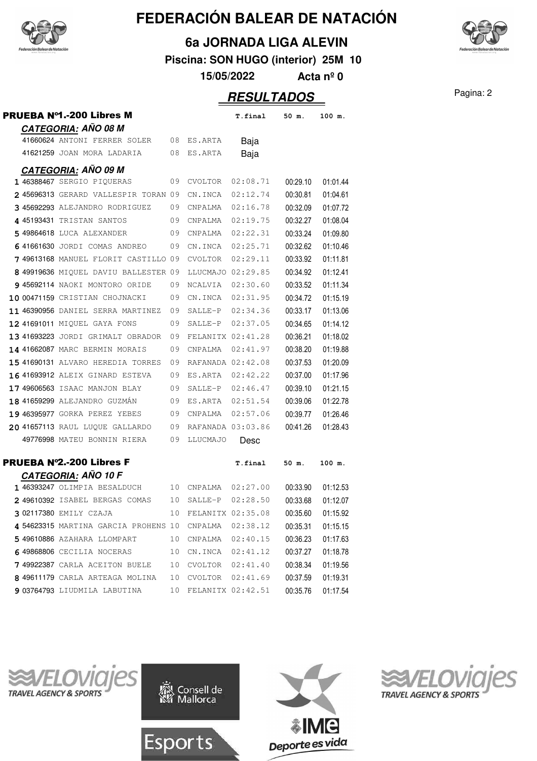



**Piscina: SON HUGO (interior) 25M 10**

**15/05/2022 Acta nº 0**

## Pagina: 2 **RESULTADOS**

|  | PRUEBA №1.-200 Libres M                                     |    |                      | T.final           | 50 m.    | 100 m.   |
|--|-------------------------------------------------------------|----|----------------------|-------------------|----------|----------|
|  | CATEGORIA: AÑO 08 M                                         |    |                      |                   |          |          |
|  | 41660624 ANTONI FERRER SOLER 08 ES.ARTA                     |    |                      | Baja              |          |          |
|  | 41621259 JOAN MORA LADARIA                                  | 08 | ES.ARTA              | Baja              |          |          |
|  | <b>CATEGORIA: AÑO 09 M</b>                                  |    |                      |                   |          |          |
|  | 1 46388467 SERGIO PIQUERAS                                  |    | 09 CVOLTOR           | 02:08.71          | 00:29.10 | 01:01.44 |
|  | 2 45696313 GERARD VALLESPIR TORAN 09                        |    | CN.INCA              | 02:12.74          | 00:30.81 | 01:04.61 |
|  | 3 45692293 ALEJANDRO RODRIGUEZ                              | 09 | CNPALMA              | 02:16.78          | 00:32.09 | 01:07.72 |
|  | 4 45193431 TRISTAN SANTOS                                   |    | 09 CNPALMA           | 02:19.75          | 00:32.27 | 01:08.04 |
|  | 5 49864618 LUCA ALEXANDER                                   | 09 | CNPALMA              | 02:22.31          | 00:33.24 | 01:09.80 |
|  | 641661630 JORDI COMAS ANDREO                                | 09 | CN.INCA              | 02:25.71          | 00:32.62 | 01:10.46 |
|  | 749613168 MANUEL FLORIT CASTILLO 09                         |    | CVOLTOR              | 02:29.11          | 00:33.92 | 01:11.81 |
|  | 8 49919636 MIQUEL DAVIU BALLESTER 09                        |    |                      | LLUCMAJO 02:29.85 | 00:34.92 | 01:12.41 |
|  | 9 45692114 NAOKI MONTORO ORIDE                              | 09 | NCALVIA 02:30.60     |                   | 00:33.52 | 01:11.34 |
|  | 10 00471159 CRISTIAN CHOJNACKI                              | 09 |                      | CN.INCA 02:31.95  | 00:34.72 | 01:15.19 |
|  | 11 46390956 DANIEL SERRA MARTINEZ                           | 09 |                      | SALLE-P 02:34.36  | 00:33.17 | 01:13.06 |
|  | 12 41691011 MIQUEL GAYA FONS                                | 09 |                      | SALLE-P 02:37.05  | 00:34.65 | 01:14.12 |
|  | 13 41693223 JORDI GRIMALT OBRADOR                           | 09 |                      | FELANITX 02:41.28 | 00:36.21 | 01:18.02 |
|  | 14 41662087 MARC BERMIN MORAIS                              | 09 | CNPALMA              | 02:41.97          | 00:38.20 | 01:19.88 |
|  | 15 41690131 ALVARO HEREDIA TORRES                           | 09 |                      | RAFANADA 02:42.08 | 00:37.53 | 01:20.09 |
|  | 16 41693912 ALEIX GINARD ESTEVA                             | 09 |                      | ES.ARTA 02:42.22  | 00:37.00 | 01:17.96 |
|  | 17 49606563 ISAAC MANJON BLAY                               | 09 |                      | SALLE-P 02:46.47  | 00:39.10 | 01:21.15 |
|  | 18 41659299 ALEJANDRO GUZMÁN                                | 09 |                      | ES.ARTA 02:51.54  | 00:39.06 | 01:22.78 |
|  | 19 46395977 GORKA PEREZ YEBES                               |    | 09 CNPALMA           | 02:57.06          | 00:39.77 | 01:26.46 |
|  | 20 41657113 RAUL LUQUE GALLARDO                             |    | 09 RAFANADA 03:03.86 |                   | 00:41.26 | 01:28.43 |
|  | 49776998 MATEU BONNIN RIERA                                 | 09 | LLUCMAJO             | Desc              |          |          |
|  | <b>PRUEBA Nº2.-200 Libres F</b>                             |    |                      | T.final           | 50 m.    | 100 m.   |
|  | <u>CATEG</u> ORIA: AÑO 10 F<br>1 46393247 OLIMPIA BESALDUCH |    | 10 CNPALMA 02:27.00  |                   | 00:33.90 | 01:12.53 |
|  | 2 49610392 ISABEL BERGAS COMAS                              | 10 | SALLE-P              | 02:28.50          | 00:33.68 | 01:12.07 |
|  | 302117380 EMILY CZAJA                                       | 10 | FELANITX 02:35.08    |                   | 00:35.60 | 01:15.92 |
|  | 4 54623315 MARTINA GARCIA PROHENS 10                        |    | CNPALMA              | 02:38.12          | 00:35.31 | 01:15.15 |
|  | 5 49610886 AZAHARA LLOMPART                                 | 10 | CNPALMA              | 02:40.15          | 00:36.23 | 01:17.63 |
|  | 649868806 CECILIA NOCERAS                                   | 10 | CN.INCA              | 02:41.12          | 00:37.27 | 01:18.78 |
|  | 749922387 CARLA ACEITON BUELE                               | 10 | CVOLTOR              | 02:41.40          | 00:38.34 | 01:19.56 |
|  | 8 49611179 CARLA ARTEAGA MOLINA                             | 10 | CVOLTOR              | 02:41.69          | 00:37.59 | 01:19.31 |
|  | 9 03764793 LIUDMILA LABUTINA                                | 10 |                      | FELANITX 02:42.51 | 00:35.76 | 01:17.54 |









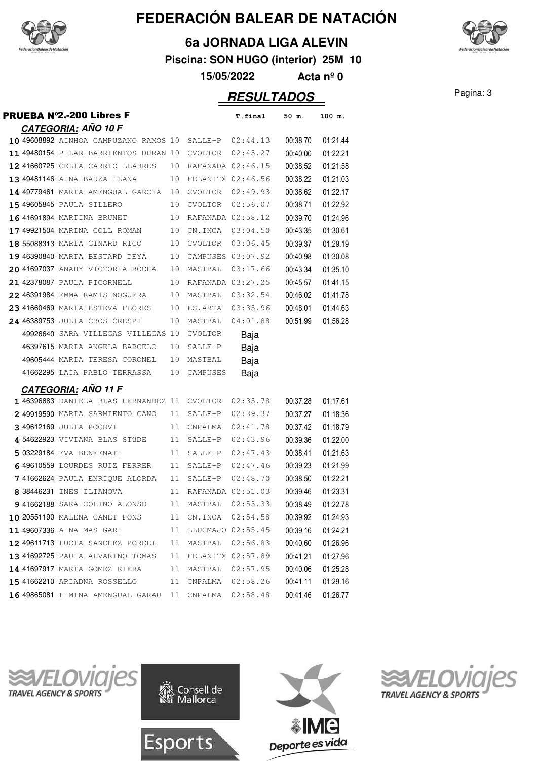

**CATEGORIA: AÑO 10 F**

# **FEDERACIÓN BALEAR DE NATACIÓN**

### **6a JORNADA LIGA ALEVIN**

**Piscina: SON HUGO (interior) 25M 10**

**15/05/2022 Acta nº 0**

**RESULTADOS** Pagina: 3 **PRUEBA N°2.-200 Libres F** T.final 50 m. 100 m. 49608892 AINHOA CAMPUZANO RAMOS 10 SALLE-P 02:44.13 00:38.70 01:21.44 11 49480154 PILAR BARRIENTOS DURAN 10 CVOLTOR 02:45.27 00:40.00 01:22.21 41660725 CELIA CARRIO LLABRES 10 RAFANADA 02:46.15 00:38.52 01:21.58

|  | 13 49481146 AINA BAUZA LLANA 10 FELANITX 02:46.56   |    |                      |                      | 00:38.22 | 01:21.03 |
|--|-----------------------------------------------------|----|----------------------|----------------------|----------|----------|
|  | 14 49779461 MARTA AMENGUAL GARCIA                   | 10 |                      | $CVOLTOR$ $02:49.93$ | 00:38.62 | 01:22.17 |
|  | <b>15 49605845</b> PAULA SILLERO                    | 10 | CVOLTOR 02:56.07     |                      | 00:38.71 | 01:22.92 |
|  | 16 41691894 MARTINA BRUNET                          |    | 10 RAFANADA 02:58.12 |                      | 00:39.70 | 01:24.96 |
|  | <b>17 49921504</b> MARINA COLL ROMAN                |    | 10 CN.INCA 03:04.50  |                      | 00:43.35 | 01:30.61 |
|  | 18 55088313 MARIA GINARD RIGO                       | 10 | CVOLTOR 03:06.45     |                      | 00:39.37 | 01:29.19 |
|  | 19 46390840 MARTA BESTARD DEYA 10 CAMPUSES 03:07.92 |    |                      |                      | 00:40.98 | 01:30.08 |
|  | 20 41697037 ANAHY VICTORIA ROCHA                    | 10 | MASTBAL 03:17.66     |                      | 00:43.34 | 01:35.10 |
|  | 21 42378087 PAULA PICORNELL                         | 10 | RAFANADA 03:27.25    |                      | 00:45.57 | 01:41.15 |
|  | 22 46391984 EMMA RAMIS NOGUERA                      |    |                      | 10 MASTBAL 03:32.54  | 00:46.02 | 01:41.78 |
|  | 23 41660469 MARIA ESTEVA FLORES                     |    |                      | 10 ES.ARTA 03:35.96  | 00:48.01 | 01:44.63 |
|  | 24 46389753 JULIA CROS CRESPI                       |    | 10 MASTBAL           | $04:01.88$ 00:51.99  |          | 01:56.28 |
|  | 49926640 SARA VILLEGAS VILLEGAS 10 CVOLTOR          |    |                      | Baja                 |          |          |
|  | 46397615 MARIA ANGELA BARCELO 10                    |    | SALLE-P              | Baja                 |          |          |
|  | 49605444 MARIA TERESA CORONEL                       | 10 | MASTBAL              | Baja                 |          |          |
|  | 41662295 LAIA PABLO TERRASSA                        | 10 | CAMPUSES             | Baja                 |          |          |
|  |                                                     |    |                      |                      |          |          |

#### **CATEGORIA: AÑO 11 F**

|  | 1 46396883 DANIELA BLAS HERNANDEZ 11 |    | CVOLTOR           | 02:35.78 | 00:37.28 | 01:17.61 |
|--|--------------------------------------|----|-------------------|----------|----------|----------|
|  | 2 49919590 MARIA SARMIENTO CANO      | 11 | SALLE-P           | 02:39.37 | 00:37.27 | 01:18.36 |
|  | 3 49612169 JULIA POCOVI              | 11 | CNPALMA           | 02:41.78 | 00:37.42 | 01:18.79 |
|  | 4 54622923 VIVIANA BLAS STÜDE        | 11 | SALLE-P           | 02:43.96 | 00:39.36 | 01:22.00 |
|  | 5 03229184 EVA BENFENATI             | 11 | SALLE-P           | 02:47.43 | 00:38.41 | 01:21.63 |
|  | 6 49610559 LOURDES RUIZ FERRER       | 11 | SALLE-P           | 02:47.46 | 00:39.23 | 01:21.99 |
|  | 741662624 PAULA ENRIOUE ALORDA       | 11 | SALLE-P           | 02:48.70 | 00:38.50 | 01:22.21 |
|  | 8 38446231 INES ILIANOVA             | 11 | RAFANADA          | 02:51.03 | 00:39.46 | 01:23.31 |
|  | 941662188 SARA COLINO ALONSO         | 11 | MASTBAL           | 02:53.33 | 00:38.49 | 01:22.78 |
|  | 10 20551190 MALENA CANET PONS        | 11 | CN.INCA           | 02:54.58 | 00:39.92 | 01:24.93 |
|  | 11 49607336 AINA MAS GARI            | 11 | LLUCMAJO          | 02:55.45 | 00:39.16 | 01:24.21 |
|  | 12 49611713 LUCIA SANCHEZ PORCEL     | 11 | MASTBAL           | 02:56.83 | 00:40.60 | 01:26.96 |
|  | 13 41692725 PAULA ALVARINO TOMAS     | 11 | FELANITX 02:57.89 |          | 00:41.21 | 01:27.96 |
|  | 14 41697917 MARTA GOMEZ RIERA        | 11 | MASTBAL           | 02:57.95 | 00:40.06 | 01:25.28 |
|  | 15 41662210 ARIADNA ROSSELLO         | 11 | CNPALMA           | 02:58.26 | 00:41.11 | 01:29.16 |
|  | 16 49865081 LIMINA AMENGUAL GARAU    | 11 | CNPALMA           | 02:58.48 | 00:41.46 | 01:26.77 |
|  |                                      |    |                   |          |          |          |

Esports







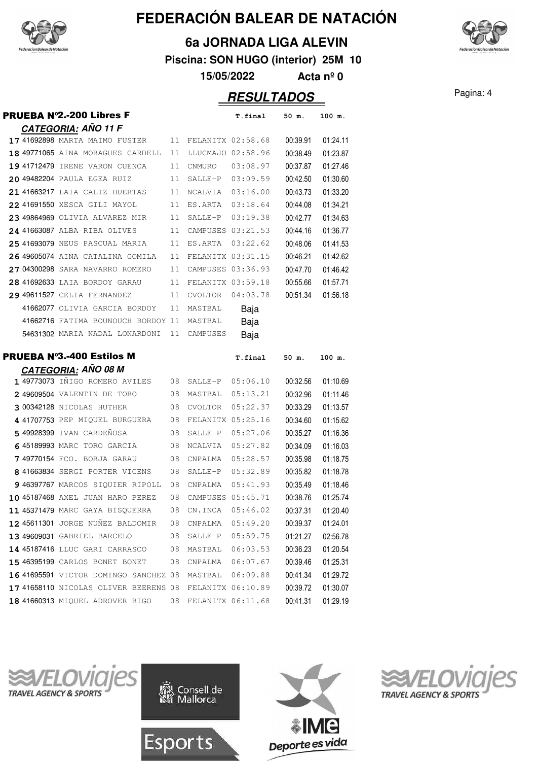

#### **6a JORNADA LIGA ALEVIN**

**Piscina: SON HUGO (interior) 25M 10**

**15/05/2022 Acta nº 0**

### Pagina: 4 **RESULTADOS**

|  | <b>PRUEBA Nº2.-200 Libres F</b>                                          |    |                   | T.final                                | 50 m.                | 100 m.               |
|--|--------------------------------------------------------------------------|----|-------------------|----------------------------------------|----------------------|----------------------|
|  | CATEGORIA: AÑO 11 F                                                      |    |                   |                                        |                      |                      |
|  | 17 41692898 MARTA MAIMO FUSTER                                           | 11 | FELANITX 02:58.68 |                                        | 00:39.91             | 01:24.11             |
|  | 18 49771065 AINA MORAGUES CARDELL                                        | 11 |                   | LLUCMAJO 02:58.96                      | 00:38.49             | 01:23.87             |
|  | 19 41712479 IRENE VARON CUENCA                                           | 11 | CNMURO            | 03:08.97                               | 00:37.87             | 01:27.46             |
|  | 20 49482204 PAULA EGEA RUIZ                                              | 11 |                   | SALLE-P 03:09.59                       | 00:42.50             | 01:30.60             |
|  | 21 41663217 LAIA CALIZ HUERTAS                                           | 11 | NCALVIA           | 03:16.00                               | 00:43.73             | 01:33.20             |
|  | 22 41691550 XESCA GILI MAYOL                                             | 11 | ES.ARTA           | 03:18.64                               | 00:44.08             | 01:34.21             |
|  | 23 49864969 OLIVIA ALVAREZ MIR                                           | 11 | SALLE-P           | 03:19.38                               | 00:42.77             | 01:34.63             |
|  | 24 41663087 ALBA RIBA OLIVES                                             | 11 |                   | CAMPUSES 03:21.53                      | 00:44.16             | 01:36.77             |
|  | 25 41693079 NEUS PASCUAL MARIA                                           | 11 | ES.ARTA           | 03:22.62                               | 00:48.06             | 01:41.53             |
|  | 26 49605074 AINA CATALINA GOMILA                                         | 11 | FELANITX 03:31.15 |                                        | 00:46.21             | 01:42.62             |
|  | 27 04300298 SARA NAVARRO ROMERO                                          | 11 | CAMPUSES 03:36.93 |                                        | 00:47.70             | 01:46.42             |
|  | 28 41692633 LAIA BORDOY GARAU                                            | 11 | FELANITX 03:59.18 |                                        | 00:55.66             | 01:57.71             |
|  | 29 49611527 CELIA FERNANDEZ                                              | 11 | CVOLTOR           | 04:03.78                               | 00:51.34             | 01:56.18             |
|  | 41662077 OLIVIA GARCIA BORDOY                                            | 11 | MASTBAL           | Baja                                   |                      |                      |
|  | 41662716 FATIMA BOUNOUCH BORDOY 11                                       |    | MASTBAL           | Baja                                   |                      |                      |
|  | 54631302 MARIA NADAL LONARDONI                                           | 11 | CAMPUSES          | Baja                                   |                      |                      |
|  |                                                                          |    |                   |                                        |                      |                      |
|  |                                                                          |    |                   |                                        |                      |                      |
|  | <b>PRUEBA Nº3.-400 Estilos M</b>                                         |    |                   | T.final                                | 50 m.                | 100 m.               |
|  | CATEGORIA: AÑO 08 M                                                      |    |                   |                                        |                      |                      |
|  | 1 49773073 INIGO ROMERO AVILES                                           | 08 | SALLE-P           | 05:06.10                               | 00:32.56             | 01:10.69             |
|  | 2 49609504 VALENTIN DE TORO                                              | 08 | MASTBAL           | 05:13.21                               | 00:32.96             | 01:11.46             |
|  | 3 00342128 NICOLAS HUTHER                                                | 08 | CVOLTOR           | 05:22.37                               | 00:33.29             | 01:13.57             |
|  | 4 41707753 PEP MIQUEL BURGUERA                                           | 08 |                   | FELANITX 05:25.16                      | 00:34.60             | 01:15.62             |
|  | 5 49928399 IVAN CARDEÑOSA                                                | 08 |                   | SALLE-P 05:27.06                       | 00:35.27             | 01:16.36             |
|  | 645189993 MARC TORO GARCIA                                               | 08 | NCALVIA           | 05:27.82                               | 00:34.09             | 01:16.03             |
|  | 749770154 FCO. BORJA GARAU                                               | 08 | CNPALMA           | 05:28.57                               | 00:35.98             | 01:18.75             |
|  | 8 41663834 SERGI PORTER VICENS                                           | 08 | SALLE-P           | 05:32.89                               | 00:35.82             | 01:18.78             |
|  | 9 46397767 MARCOS SIQUIER RIPOLL                                         | 08 | CNPALMA           | 05:41.93                               | 00:35.49             | 01:18.46             |
|  | 10 45187468 AXEL JUAN HARO PEREZ                                         | 08 |                   | CAMPUSES 05:45.71                      | 00:38.76             | 01:25.74             |
|  | 11 45371479 MARC GAYA BISQUERRA                                          | 08 | CN.INCA           | 05:46.02                               | 00:37.31             | 01:20.40             |
|  | 12 45611301 JORGE NUÑEZ BALDOMIR                                         | 08 | CNPALMA           | 05:49.20                               | 00:39.37             | 01:24.01             |
|  | 13 49609031 GABRIEL BARCELO                                              | 08 | SALLE-P           | 05:59.75                               | 01:21.27             | 02:56.78             |
|  | 14 45187416 LLUC GARI CARRASCO                                           | 08 | MASTBAL           | 06:03.53                               | 00:36.23             | 01:20.54             |
|  | 15 46395199 CARLOS BONET BONET                                           | 08 | CNPALMA           | 06:07.67                               | 00:39.46             | 01:25.31             |
|  | 16 41695591 VICTOR DOMINGO SANCHEZ 08                                    |    |                   | MASTBAL 06:09.88                       | 00:41.34             | 01:29.72             |
|  | 17 41658110 NICOLAS OLIVER BEERENS 08<br>18 41660313 MIQUEL ADROVER RIGO | 08 |                   | FELANITX 06:10.89<br>FELANITX 06:11.68 | 00:39.72<br>00:41.31 | 01:30.07<br>01:29.19 |









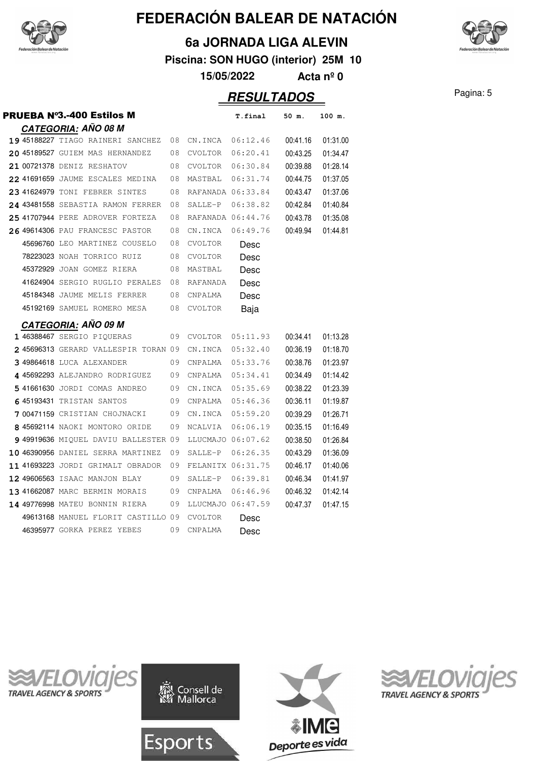

### **6a JORNADA LIGA ALEVIN**

**Piscina: SON HUGO (interior) 25M 10**

**15/05/2022 Acta nº 0**

## Pagina: 5 **RESULTADOS**

|  | <b>PRUEBA Nº3.-400 Estilos M</b>     |    |                   | T.final  | 50 m.    | 100 m.   |
|--|--------------------------------------|----|-------------------|----------|----------|----------|
|  | <u>CATEGORIA:</u> AÑO 08 M           |    |                   |          |          |          |
|  | 19 45188227 TIAGO RAINERI SANCHEZ    | 08 | CN.INCA           | 06:12.46 | 00:41.16 | 01:31.00 |
|  | 20 45189527 GUIEM MAS HERNANDEZ      | 08 | <b>CVOLTOR</b>    | 06:20.41 | 00:43.25 | 01:34.47 |
|  | 21 00721378 DENIZ RESHATOV           | 08 | CVOLTOR           | 06:30.84 | 00:39.88 | 01:28.14 |
|  | 22 41691659 JAUME ESCALES MEDINA     | 08 | MASTBAL           | 06:31.74 | 00:44.75 | 01:37.05 |
|  | 23 41624979 TONI FEBRER SINTES       | 08 | RAFANADA 06:33.84 |          | 00:43.47 | 01:37.06 |
|  | 24 43481558 SEBASTIA RAMON FERRER    | 08 | SALLE-P           | 06:38.82 | 00:42.84 | 01:40.84 |
|  | 25 41707944 PERE ADROVER FORTEZA     | 08 | RAFANADA 06:44.76 |          | 00:43.78 | 01:35.08 |
|  | 26 49614306 PAU FRANCESC PASTOR      | 08 | CN.INCA           | 06:49.76 | 00:49.94 | 01:44.81 |
|  | 45696760 LEO MARTINEZ COUSELO        | 08 | <b>CVOLTOR</b>    | Desc     |          |          |
|  | 78223023 NOAH TORRICO RUIZ           | 08 | CVOLTOR           | Desc     |          |          |
|  | 45372929 JOAN GOMEZ RIERA            | 08 | MASTBAL           | Desc     |          |          |
|  | 41624904 SERGIO RUGLIO PERALES       | 08 | RAFANADA          | Desc     |          |          |
|  | 45184348 JAUME MELIS FERRER          | 08 | CNPALMA           | Desc     |          |          |
|  | 45192169 SAMUEL ROMERO MESA          | 08 | CVOLTOR           | Baja     |          |          |
|  | <b>CATEGORIA: AÑO 09 M</b>           |    |                   |          |          |          |
|  | 1 46388467 SERGIO PIQUERAS           | 09 | <b>CVOLTOR</b>    | 05:11.93 | 00:34.41 | 01:13.28 |
|  | 245696313 GERARD VALLESPIR TORAN 09  |    | CN.INCA           | 05:32.40 | 00:36.19 | 01:18.70 |
|  | 3 49864618 LUCA ALEXANDER            | 09 | CNPALMA           | 05:33.76 | 00:38.76 | 01:23.97 |
|  | 4 45692293 ALEJANDRO RODRIGUEZ       | 09 | CNPALMA           | 05:34.41 | 00:34.49 | 01:14.42 |
|  | 541661630 JORDI COMAS ANDREO         | 09 | CN.INCA           | 05:35.69 | 00:38.22 | 01:23.39 |
|  | 645193431 TRISTAN SANTOS             | 09 | CNPALMA           | 05:46.36 | 00:36.11 | 01:19.87 |
|  | 700471159 CRISTIAN CHOJNACKI         | 09 | CN.INCA           | 05:59.20 | 00:39.29 | 01:26.71 |
|  | 8 45692114 NAOKI MONTORO ORIDE       | 09 | NCALVIA           | 06:06.19 | 00:35.15 | 01:16.49 |
|  | 9 49919636 MIQUEL DAVIU BALLESTER 09 |    | LLUCMAJO 06:07.62 |          | 00:38.50 | 01:26.84 |
|  | 10 46390956 DANIEL SERRA MARTINEZ    | 09 | SALLE-P           | 06:26.35 | 00:43.29 | 01:36.09 |
|  | 11 41693223 JORDI GRIMALT OBRADOR    | 09 | FELANITX 06:31.75 |          | 00:46.17 | 01:40.06 |
|  | 12 49606563 ISAAC MANJON BLAY        | 09 | SALLE-P           | 06:39.81 | 00:46.34 | 01:41.97 |
|  | 13 41662087 MARC BERMIN MORAIS       | 09 | CNPALMA           | 06:46.96 | 00:46.32 | 01:42.14 |
|  | 14 49776998 MATEU BONNIN RIERA       | 09 | LLUCMAJO 06:47.59 |          | 00:47.37 | 01:47.15 |
|  | 49613168 MANUEL FLORIT CASTILLO 09   |    | CVOLTOR           | Desc     |          |          |
|  | 46395977 GORKA PEREZ YEBES           | 09 | CNPALMA           | Desc     |          |          |
|  |                                      |    |                   |          |          |          |









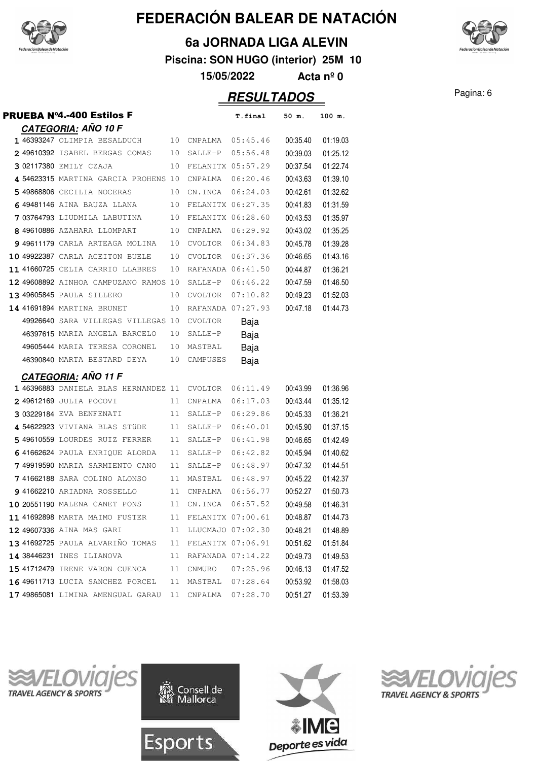

### **6a JORNADA LIGA ALEVIN**

**Piscina: SON HUGO (interior) 25M 10**

**15/05/2022 Acta nº 0**

## Pagina: 6 **RESULTADOS**

| <b>PRUEBA Nº4.-400 Estilos F</b>                      |    |                      | T.final           | 50 m.    | 100 m.               |
|-------------------------------------------------------|----|----------------------|-------------------|----------|----------------------|
| <b>CATEGORIA: AÑO 10 F</b>                            |    |                      |                   |          |                      |
| 1 46393247 OLIMPIA BESALDUCH 10 CNPALMA 05:45.46      |    |                      |                   | 00:35.40 | 01:19.03             |
| 2 49610392 ISABEL BERGAS COMAS                        | 10 |                      | SALLE-P 05:56.48  | 00:39.03 | 01:25.12             |
| 3 02117380 EMILY CZAJA                                | 10 | FELANITX 05:57.29    |                   | 00:37.54 | 01:22.74             |
| 4 54623315 MARTINA GARCIA PROHENS 10                  |    | CNPALMA  06:20.46    |                   | 00:43.63 | 01:39.10             |
| <b>5 49868806</b> CECILIA NOCERAS                     | 10 | CN.INCA  06:24.03    |                   | 00:42.61 | 01:32.62             |
| 6 49481146 AINA BAUZA LLANA                           | 10 | FELANITX 06:27.35    |                   | 00:41.83 | 01:31.59             |
| <b>7</b> 03764793 LIUDMILA LABUTINA                   | 10 | FELANITX 06:28.60    |                   | 00:43.53 | 01:35.97             |
| 8 49610886 AZAHARA LLOMPART                           | 10 | CNPALMA              | 06:29.92          | 00:43.02 | 01:35.25             |
| 9 49611179 CARLA ARTEAGA MOLINA                       | 10 |                      | CVOLTOR 06:34.83  | 00:45.78 | 01:39.28             |
| 10 49922387 CARLA ACEITON BUELE                       | 10 |                      | CVOLTOR 06:37.36  | 00:46.65 | 01:43.16             |
| 11 41660725 CELIA CARRIO LLABRES                      | 10 |                      | RAFANADA 06:41.50 | 00:44.87 | 01:36.21             |
| 12 49608892 AINHOA CAMPUZANO RAMOS 10                 |    |                      | SALLE-P 06:46.22  | 00:47.59 | 01:46.50             |
| 13 49605845 PAULA SILLERO                             | 10 | CVOLTOR 07:10.82     |                   | 00:49.23 | 01:52.03             |
| 14 41691894 MARTINA BRUNET                            | 10 |                      | RAFANADA 07:27.93 | 00:47.18 | 01:44.73             |
| 49926640 SARA VILLEGAS VILLEGAS 10                    |    | CVOLTOR              | Baja              |          |                      |
| 46397615 MARIA ANGELA BARCELO                         | 10 | SALLE-P              | Baja              |          |                      |
| 49605444 MARIA TERESA CORONEL                         | 10 | MASTBAL              | Baja              |          |                      |
|                                                       | 10 |                      |                   |          |                      |
| 46390840 MARTA BESTARD DEYA                           |    | CAMPUSES             | Baja              |          |                      |
| <b>CATEGORIA: AÑO 11 F</b>                            |    |                      |                   |          |                      |
| 1 46396883 DANIELA BLAS HERNANDEZ 11 CVOLTOR 06:11.49 |    |                      |                   | 00:43.99 | 01:36.96             |
| 249612169 JULIA POCOVI                                | 11 | CNPALMA              | 06:17.03          | 00:43.44 | 01:35.12             |
| 303229184 EVA BENFENATI                               | 11 | SALLE-P              | 06:29.86          | 00:45.33 | 01:36.21             |
| 454622923 VIVIANA BLAS STÜDE                          | 11 | SALLE-P              | 06:40.01          | 00:45.90 | 01:37.15             |
| 5 49610559 LOURDES RUIZ FERRER                        | 11 | SALLE-P              | 06:41.98          | 00:46.65 | 01:42.49             |
| 641662624 PAULA ENRIQUE ALORDA                        | 11 | SALLE-P              | 06:42.82          | 00:45.94 | 01:40.62             |
| 749919590 MARIA SARMIENTO CANO                        | 11 | SALLE-P              | 06:48.97          | 00:47.32 | 01:44.51             |
| 741662188 SARA COLINO ALONSO                          | 11 | MASTBAL 06:48.97     |                   | 00:45.22 | 01:42.37             |
| 9 41662210 ARIADNA ROSSELLO                           | 11 | CNPALMA              | 06:56.77          | 00:52.27 | 01:50.73             |
| 10 20551190 MALENA CANET PONS                         |    | 11 CN.INCA 06:57.52  |                   | 00:49.58 | 01:46.31             |
| 11 41692898 MARTA MAIMO FUSTER                        |    | 11 FELANITX 07:00.61 |                   | 00:48.87 | 01:44.73             |
| 12 49607336 AINA MAS GARI                             | 11 | LLUCMAJO 07:02.30    |                   | 00:48.21 | 01:48.89             |
| 13 41692725 PAULA ALVARIÑO TOMAS                      | 11 | FELANITX 07:06.91    |                   | 00:51.62 | 01:51.84             |
| 14 38446231 INES ILIANOVA                             | 11 | RAFANADA 07:14.22    |                   | 00:49.73 |                      |
| 15 41712479 IRENE VARON CUENCA                        | 11 |                      | CNMURO 07:25.96   | 00:46.13 | 01:49.53<br>01:47.52 |
| 16 49611713 LUCIA SANCHEZ PORCEL                      | 11 | MASTBAL 07:28.64     |                   | 00:53.92 | 01:58.03             |







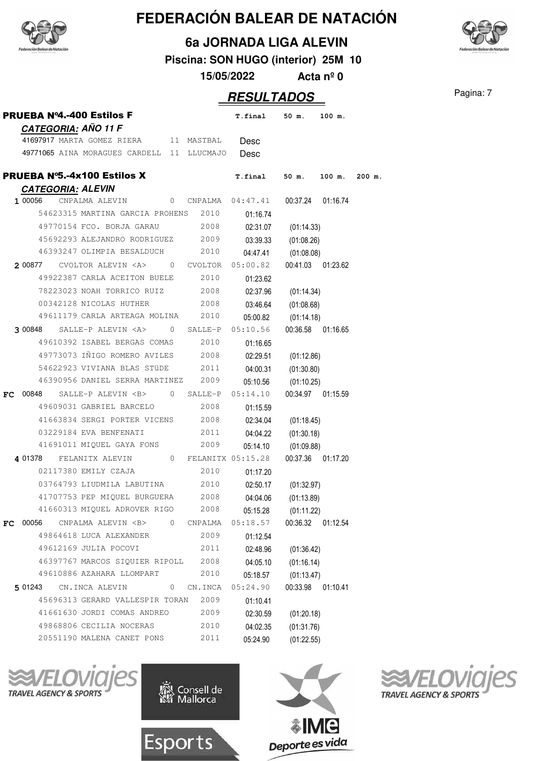



**6a JORNADA LIGA ALEVIN**

**Piscina: SON HUGO (interior) 25M 10**

**15/05/2022 Acta nº 0**

## **RESULTADOS** Pagina: 7

|     | <b>PRUEBA Nº4.-400 Estilos F</b>                             | T.final             | 50 m.               | 100 m.            |        |
|-----|--------------------------------------------------------------|---------------------|---------------------|-------------------|--------|
|     | CATEGORIA: AÑO 11 F<br>41697917 MARTA GOMEZ RIERA 11 MASTBAL | Desc                |                     |                   |        |
|     | 49771065 AINA MORAGUES CARDELL 11 LLUCMAJO                   | Desc                |                     |                   |        |
|     |                                                              |                     |                     |                   |        |
|     | <b>PRUEBA Nº5.-4x100 Estilos X</b>                           | <b>T.final</b>      |                     | 50 m. 100 m.      | 200 m. |
|     | <b>CATEGORIA: ALEVIN</b>                                     |                     |                     |                   |        |
|     | 0 CNPALMA 04:47.41<br>1 00056<br>CNPALMA ALEVIN              |                     |                     | 00:37.24 01:16.74 |        |
|     | 54623315 MARTINA GARCIA PROHENS 2010                         | 01:16.74            |                     |                   |        |
|     | 49770154 FCO. BORJA GARAU 2008                               |                     | 02:31.07 (01:14.33) |                   |        |
|     | 45692293 ALEJANDRO RODRIGUEZ 2009                            | 03:39.33            | (01:08.26)          |                   |        |
|     | 46393247 OLIMPIA BESALDUCH 2010                              |                     | 04:47.41 (01:08.08) |                   |        |
|     | CVOLTOR ALEVIN <a> 0 CVOLTOR<br/>2 00877</a>                 | 05:00.82            |                     | 00:41.03 01:23.62 |        |
|     | 49922387 CARLA ACEITON BUELE 2010                            | 01:23.62            |                     |                   |        |
|     | 78223023 NOAH TORRICO RUIZ 2008                              |                     | 02:37.96 (01:14.34) |                   |        |
|     | 2008<br>00342128 NICOLAS HUTHER                              |                     | 03:46.64 (01:08.68) |                   |        |
|     | 49611179 CARLA ARTEAGA MOLINA 2010                           |                     | 05:00.82 (01:14.18) |                   |        |
|     | SALLE-P ALEVIN <a> 0 SALLE-P<br/>3 00848</a>                 | 05:10.56            |                     | 00:36.58 01:16.65 |        |
|     | 49610392 ISABEL BERGAS COMAS 2010                            | 01:16.65            |                     |                   |        |
|     | 49773073 IÑIGO ROMERO AVILES 2008                            |                     | 02:29.51 (01:12.86) |                   |        |
|     | 54622923 VIVIANA BLAS STÜDE 2011                             |                     | 04:00.31 (01:30.80) |                   |        |
|     | 46390956 DANIEL SERRA MARTINEZ 2009                          |                     | 05:10.56 (01:10.25) |                   |        |
| FC  | SALLE-P ALEVIN <b> 0 SALLE-P<br/>00848</b>                   | 05:14.10            |                     | 00:34.97 01:15.59 |        |
|     | 49609031 GABRIEL BARCELO<br>2008                             | 01:15.59            |                     |                   |        |
|     | 41663834 SERGI PORTER VICENS 2008                            | 02:34.04            | (01:18.45)          |                   |        |
|     | 03229184 EVA BENFENATI<br>2011                               |                     | 04:04.22 (01:30.18) |                   |        |
|     | 41691011 MIQUEL GAYA FONS 2009                               |                     | 05:14.10 (01:09.88) |                   |        |
|     | 4 01378 FELANITX ALEVIN 0 FELANITX 05:15.28                  |                     |                     | 00:37.36 01:17.20 |        |
|     | 02117380 EMILY CZAJA<br>2010                                 | 01:17.20            |                     |                   |        |
|     | 03764793 LIUDMILA LABUTINA 2010                              |                     | 02:50.17 (01:32.97) |                   |        |
|     | 41707753 PEP MIQUEL BURGUERA 2008                            | 04:04.06            | (01:13.89)          |                   |        |
|     | 41660313 MIQUEL ADROVER RIGO 2008                            | 05:15.28 (01:11.22) |                     |                   |        |
| FC. | 00056 CNPALMA ALEVIN <b> 0 CNPALMA</b>                       | 05:18.57            |                     | 00:36.32 01:12.54 |        |
|     | 49864618 LUCA ALEXANDER<br>2009                              | 01:12.54            |                     |                   |        |
|     | 49612169 JULIA POCOVI<br>2011                                |                     | 02:48.96 (01:36.42) |                   |        |
|     | 46397767 MARCOS SIQUIER RIPOLL 2008                          |                     | 04:05.10 (01:16.14) |                   |        |
|     | 49610886 AZAHARA LLOMPART<br>2010                            |                     | 05:18.57 (01:13.47) |                   |        |
|     | 501243 CN.INCA ALEVIN 0 CN.INCA                              | 05:24.90            |                     | 00:33.98 01:10.41 |        |
|     | 45696313 GERARD VALLESPIR TORAN<br>2009                      | 01:10.41            |                     |                   |        |
|     | 41661630 JORDI COMAS ANDREO 2009                             | 02:30.59            | (01:20.18)          |                   |        |
|     | 49868806 CECILIA NOCERAS 2010                                | 04:02.35            | (01:31.76)          |                   |        |
|     | 20551190 MALENA CANET PONS<br>2011                           | 05:24.90            | (01:22.55)          |                   |        |
|     |                                                              |                     |                     |                   |        |